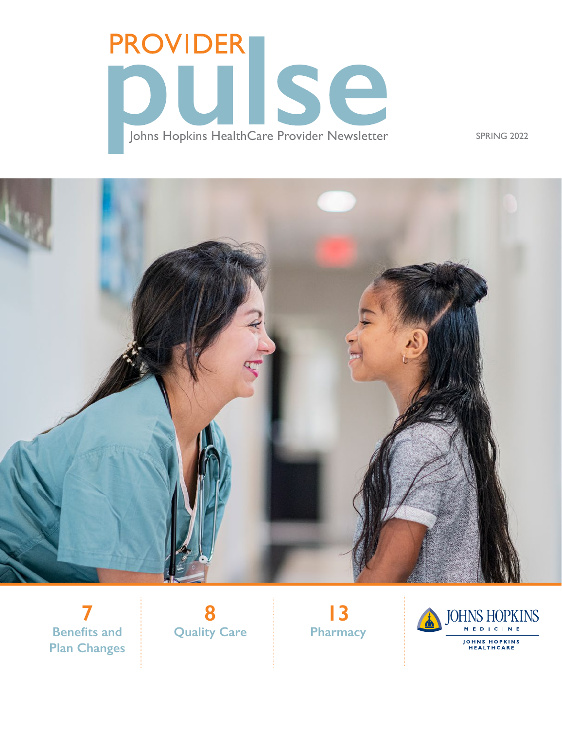# **PROVIDER** UISE Johns Hopkins HealthCare Provider Newsletter SPRING 2022



**7 Benefits and Plan Changes**



**13 Pharmacy**

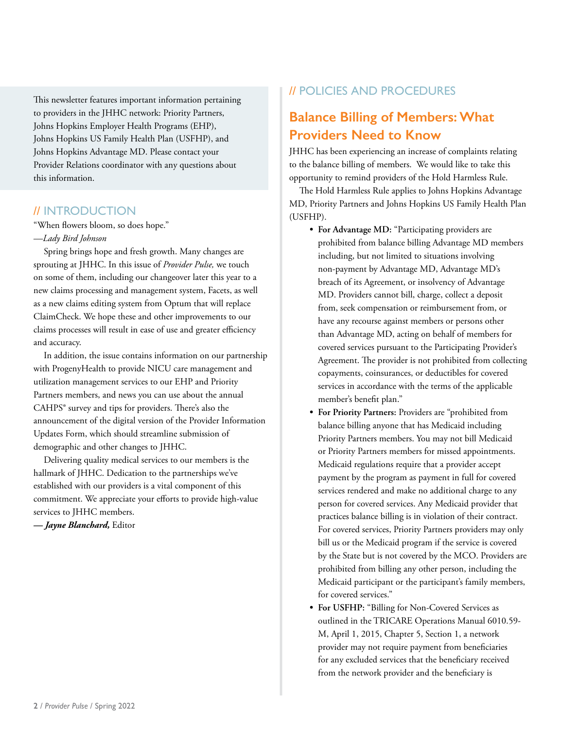This newsletter features important information pertaining to providers in the JHHC network: Priority Partners, Johns Hopkins Employer Health Programs (EHP), Johns Hopkins US Family Health Plan (USFHP), and Johns Hopkins Advantage MD. Please contact your Provider Relations coordinator with any questions about this information.

### // INTRODUCTION

"When flowers bloom, so does hope." *—Lady Bird Johnson*

Spring brings hope and fresh growth. Many changes are sprouting at JHHC. In this issue of *Provider Pulse,* we touch on some of them, including our changeover later this year to a new claims processing and management system, Facets, as well as a new claims editing system from Optum that will replace ClaimCheck. We hope these and other improvements to our claims processes will result in ease of use and greater efficiency and accuracy.

In addition, the issue contains information on our partnership with ProgenyHealth to provide NICU care management and utilization management services to our EHP and Priority Partners members, and news you can use about the annual CAHPS® survey and tips for providers. There's also the announcement of the digital version of the Provider Information Updates Form, which should streamline submission of demographic and other changes to JHHC.

Delivering quality medical services to our members is the hallmark of JHHC. Dedication to the partnerships we've established with our providers is a vital component of this commitment. We appreciate your efforts to provide high-value services to JHHC members.

*— Jayne Blanchard,* Editor

### // POLICIES AND PROCEDURES

# **Balance Billing of Members: What Providers Need to Know**

JHHC has been experiencing an increase of complaints relating to the balance billing of members. We would like to take this opportunity to remind providers of the Hold Harmless Rule.

The Hold Harmless Rule applies to Johns Hopkins Advantage MD, Priority Partners and Johns Hopkins US Family Health Plan (USFHP).

- **• For Advantage MD:** "Participating providers are prohibited from balance billing Advantage MD members including, but not limited to situations involving non-payment by Advantage MD, Advantage MD's breach of its Agreement, or insolvency of Advantage MD. Providers cannot bill, charge, collect a deposit from, seek compensation or reimbursement from, or have any recourse against members or persons other than Advantage MD, acting on behalf of members for covered services pursuant to the Participating Provider's Agreement. The provider is not prohibited from collecting copayments, coinsurances, or deductibles for covered services in accordance with the terms of the applicable member's benefit plan."
- **• For Priority Partners:** Providers are "prohibited from balance billing anyone that has Medicaid including Priority Partners members. You may not bill Medicaid or Priority Partners members for missed appointments. Medicaid regulations require that a provider accept payment by the program as payment in full for covered services rendered and make no additional charge to any person for covered services. Any Medicaid provider that practices balance billing is in violation of their contract. For covered services, Priority Partners providers may only bill us or the Medicaid program if the service is covered by the State but is not covered by the MCO. Providers are prohibited from billing any other person, including the Medicaid participant or the participant's family members, for covered services."
- **• For USFHP:** "Billing for Non-Covered Services as outlined in the TRICARE Operations Manual 6010.59- M, April 1, 2015, Chapter 5, Section 1, a network provider may not require payment from beneficiaries for any excluded services that the beneficiary received from the network provider and the beneficiary is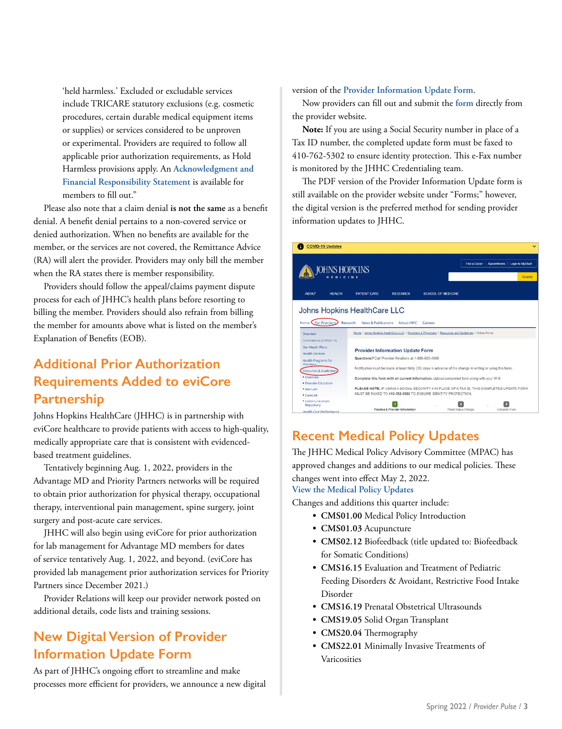'held harmless.' Excluded or excludable services include TRICARE statutory exclusions (e.g. cosmetic procedures, certain durable medical equipment items or supplies) or services considered to be unproven or experimental. Providers are required to follow all applicable prior authorization requirements, as Hold Harmless provisions apply. An **[Acknowledgment and](https://www.hopkinsmedicine.org/johns_hopkins_healthcare/downloads/usfhp/usfhp-acknowledged-financial-form.pdf)  [Financial Responsibility Statement](https://www.hopkinsmedicine.org/johns_hopkins_healthcare/downloads/usfhp/usfhp-acknowledged-financial-form.pdf)** is available for members to fill out."

Please also note that a claim denial **is not the same** as a benefit denial. A benefit denial pertains to a non-covered service or denied authorization. When no benefits are available for the member, or the services are not covered, the Remittance Advice (RA) will alert the provider. Providers may only bill the member when the RA states there is member responsibility.

Providers should follow the appeal/claims payment dispute process for each of JHHC's health plans before resorting to billing the member. Providers should also refrain from billing the member for amounts above what is listed on the member's Explanation of Benefits (EOB).

# **Additional Prior Authorization Requirements Added to eviCore Partnership**

Johns Hopkins HealthCare (JHHC) is in partnership with eviCore healthcare to provide patients with access to high-quality, medically appropriate care that is consistent with evidencedbased treatment guidelines.

Tentatively beginning Aug. 1, 2022, providers in the Advantage MD and Priority Partners networks will be required to obtain prior authorization for physical therapy, occupational therapy, interventional pain management, spine surgery, joint surgery and post-acute care services.

JHHC will also begin using eviCore for prior authorization for lab management for Advantage MD members for dates of service tentatively Aug. 1, 2022, and beyond. (eviCore has provided lab management prior authorization services for Priority Partners since December 2021.)

Provider Relations will keep our provider network posted on additional details, code lists and training sessions.

# **New Digital Version of Provider Information Update Form**

As part of JHHC's ongoing effort to streamline and make processes more efficient for providers, we announce a new digital version of the **[Provider Information Update Form](https://www.hopkinsmedicine.org/johns_hopkins_healthcare/providers_physicians/resources_guidelines/online_forms/provider_info_update_form)**.

Now providers can fill out and submit the **[form](https://www.hopkinsmedicine.org/johns_hopkins_healthcare/providers_physicians/resources_guidelines/online_forms/provider_info_update_form)** directly from the provider website.

**Note:** If you are using a Social Security number in place of a Tax ID number, the completed update form must be faxed to 410-762-5302 to ensure identity protection. This e-Fax number is monitored by the JHHC Credentialing team.

The PDF version of the Provider Information Update form is still available on the provider website under "Forms;" however, the digital version is the preferred method for sending provider information updates to JHHC.

| <b>COVID-19 Updates</b>                                          |                                                                                                        |                                                                                            |                    |                                                                                                             | v                                                         |
|------------------------------------------------------------------|--------------------------------------------------------------------------------------------------------|--------------------------------------------------------------------------------------------|--------------------|-------------------------------------------------------------------------------------------------------------|-----------------------------------------------------------|
|                                                                  | <b>JOHNS HOPKINS</b><br>$B0 + C1$                                                                      |                                                                                            |                    |                                                                                                             | Find a Doctor   Appointments   Login to MyChart<br>Search |
| <b>ABOUT</b><br><b>HEALTH</b>                                    | <b>PATIENT CARE</b>                                                                                    | <b>RESEARCH</b>                                                                            | SCHOOL OF MEDICINE |                                                                                                             |                                                           |
|                                                                  | Johns Hopkins HealthCare LLC                                                                           |                                                                                            |                    |                                                                                                             |                                                           |
| Home C For Providers                                             | Research<br>News & Publications About IHHC                                                             |                                                                                            | Careers            |                                                                                                             |                                                           |
| Overview                                                         | Home > Johns Hockins HealthCare LLC > Providers & Physicians > Resources and Quidelines > Online Forms |                                                                                            |                    |                                                                                                             |                                                           |
| Coronavirus (COVID-19)<br>Our Health Plans<br>Health Services    | <b>Provider Information Update Form</b>                                                                |                                                                                            |                    |                                                                                                             |                                                           |
| Health Programs for<br>Members                                   | Questions? Call Provider Relations at 1-888-895-4998                                                   |                                                                                            |                    |                                                                                                             |                                                           |
| Resources & Guideline                                            |                                                                                                        |                                                                                            |                    | Notification must be made at least thirty (30) days in advance of the change in writing or using this form. |                                                           |
| · Overview<br>· Provider Education                               |                                                                                                        |                                                                                            |                    | Complete this form with all current information. Upload completed form along with your W-9.                 |                                                           |
| · Manuals                                                        |                                                                                                        | PLEASE NOTE: IF USING A SOCIAL SECURITY # IN PLACE OF A TAX ID. THIS COMPLETED UPDATE FORM |                    |                                                                                                             |                                                           |
| Carel ink                                                        | MUST BE FAXED TO 410-762-5302 TO ENSURE IDENTITY PROTECTION.                                           |                                                                                            |                    |                                                                                                             |                                                           |
| · Communications<br>Repository<br><b>Haalth Care Berformance</b> |                                                                                                        | Practice & Provider Information                                                            |                    | Panel Status Change                                                                                         | Complete Form                                             |

# **Recent Medical Policy Updates**

The JHHC Medical Policy Advisory Committee (MPAC) has approved changes and additions to our medical policies. These changes went into effect May 2, 2022.

**[View the Medical Policy Updates](https://www.hopkinsmedicine.org/johns_hopkins_healthcare/providers_physicians/policies/medicalpolicies_disclaimer.html)**

Changes and additions this quarter include:

- **• CMS01.00** Medical Policy Introduction
- **• CMS01.03** Acupuncture
- **• CMS02.12** Biofeedback (title updated to: Biofeedback for Somatic Conditions)
- **• CMS16.15** Evaluation and Treatment of Pediatric Feeding Disorders & Avoidant, Restrictive Food Intake Disorder
- **• CMS16.19** Prenatal Obstetrical Ultrasounds
- **• CMS19.05** Solid Organ Transplant
- **• CMS20.04** Thermography
- **• CMS22.01** Minimally Invasive Treatments of Varicosities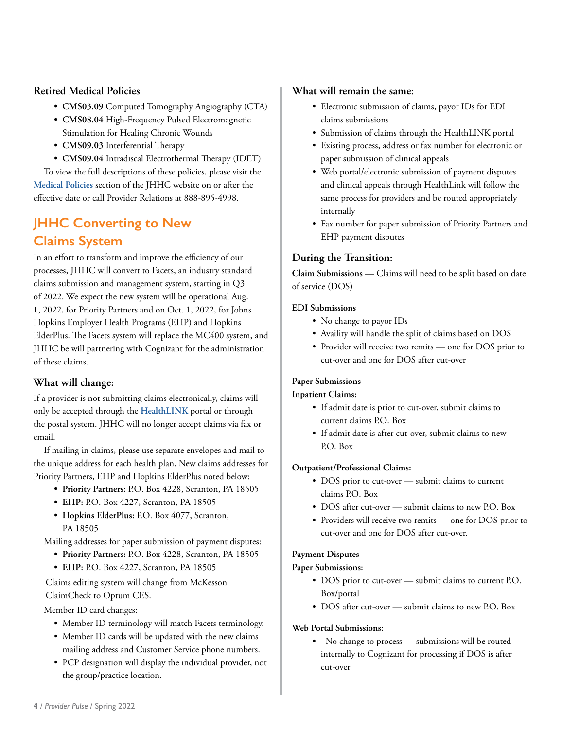### **Retired Medical Policies**

- **• CMS03.09** Computed Tomography Angiography (CTA)
- **• CMS08.04** High-Frequency Pulsed Electromagnetic Stimulation for Healing Chronic Wounds
- **• CMS09.03** Interferential Therapy
- **• CMS09.04** Intradiscal Electrothermal Therapy (IDET)

To view the full descriptions of these policies, please visit the **[Medical Policies](https://www.hopkinsmedicine.org/johns_hopkins_healthcare/providers_physicians/policies/medicalpolicies_disclaimer.html)** section of the JHHC website on or after the effective date or call Provider Relations at 888-895-4998.

# **JHHC Converting to New Claims System**

In an effort to transform and improve the efficiency of our processes, JHHC will convert to Facets, an industry standard claims submission and management system, starting in Q3 of 2022. We expect the new system will be operational Aug. 1, 2022, for Priority Partners and on Oct. 1, 2022, for Johns Hopkins Employer Health Programs (EHP) and Hopkins ElderPlus. The Facets system will replace the MC400 system, and JHHC be will partnering with Cognizant for the administration of these claims.

### **What will change:**

If a provider is not submitting claims electronically, claims will only be accepted through the **[HealthLINK](https://www.hopkinsmedicine.org/johns_hopkins_healthcare/providers_physicians/healthlink//?utm_source=campaigner&utm_medium=email&utm_campaign=PRUP229-Facets-healthlink)** portal or through the postal system. JHHC will no longer accept claims via fax or email.

If mailing in claims, please use separate envelopes and mail to the unique address for each health plan. New claims addresses for Priority Partners, EHP and Hopkins ElderPlus noted below:

- **• Priority Partners:** P.O. Box 4228, Scranton, PA 18505
- **• EHP:** P.O. Box 4227, Scranton, PA 18505
- **• Hopkins ElderPlus:** P.O. Box 4077, Scranton, PA 18505

Mailing addresses for paper submission of payment disputes:

- **• Priority Partners:** P.O. Box 4228, Scranton, PA 18505
- **• EHP:** P.O. Box 4227, Scranton, PA 18505

Claims editing system will change from McKesson ClaimCheck to Optum CES.

Member ID card changes:

- Member ID terminology will match Facets terminology.
- Member ID cards will be updated with the new claims mailing address and Customer Service phone numbers.
- PCP designation will display the individual provider, not the group/practice location.

### **What will remain the same:**

- Electronic submission of claims, payor IDs for EDI claims submissions
- Submission of claims through the HealthLINK portal
- Existing process, address or fax number for electronic or paper submission of clinical appeals
- Web portal/electronic submission of payment disputes and clinical appeals through HealthLink will follow the same process for providers and be routed appropriately internally
- Fax number for paper submission of Priority Partners and EHP payment disputes

### **During the Transition:**

**Claim Submissions —** Claims will need to be split based on date of service (DOS)

### **EDI Submissions**

- No change to payor IDs
- Availity will handle the split of claims based on DOS
- Provider will receive two remits one for DOS prior to cut-over and one for DOS after cut-over

### **Paper Submissions**

### **Inpatient Claims:**

- If admit date is prior to cut-over, submit claims to current claims P.O. Box
- If admit date is after cut-over, submit claims to new P.O. Box

### **Outpatient/Professional Claims:**

- DOS prior to cut-over submit claims to current claims P.O. Box
- DOS after cut-over submit claims to new P.O. Box
- Providers will receive two remits one for DOS prior to cut-over and one for DOS after cut-over.

### **Payment Disputes**

### **Paper Submissions:**

- DOS prior to cut-over submit claims to current P.O. Box/portal
- DOS after cut-over submit claims to new P.O. Box

### **Web Portal Submissions:**

No change to process — submissions will be routed internally to Cognizant for processing if DOS is after cut-over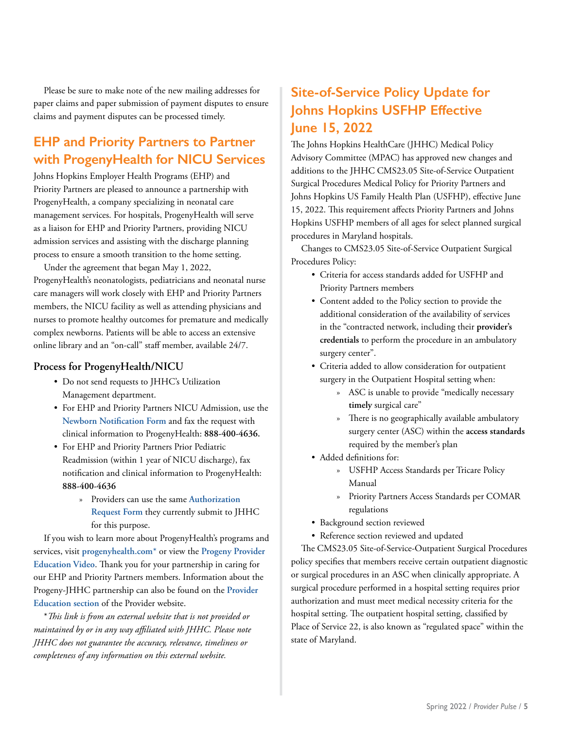Please be sure to make note of the new mailing addresses for paper claims and paper submission of payment disputes to ensure claims and payment disputes can be processed timely.

# **EHP and Priority Partners to Partner with ProgenyHealth for NICU Services**

Johns Hopkins Employer Health Programs (EHP) and Priority Partners are pleased to announce a partnership with ProgenyHealth, a company specializing in neonatal care management services. For hospitals, ProgenyHealth will serve as a liaison for EHP and Priority Partners, providing NICU admission services and assisting with the discharge planning process to ensure a smooth transition to the home setting.

Under the agreement that began May 1, 2022, ProgenyHealth's neonatologists, pediatricians and neonatal nurse care managers will work closely with EHP and Priority Partners members, the NICU facility as well as attending physicians and nurses to promote healthy outcomes for premature and medically complex newborns. Patients will be able to access an extensive online library and an "on-call" staff member, available 24/7.

### **Process for ProgenyHealth/NICU**

- Do not send requests to JHHC's Utilization Management department.
- For EHP and Priority Partners NICU Admission, use the **[Newborn Notification Form](https://www.hopkinsmedicine.org/johns_hopkins_healthcare/providers_physicians/our_plans/ehp/forms.html)** and fax the request with clinical information to ProgenyHealth: **888-400-4636.**
- For EHP and Priority Partners Prior Pediatric Readmission (within 1 year of NICU discharge), fax notification and clinical information to ProgenyHealth: **888-400-4636**
	- » Providers can use the same **[Authorization](https://www.hopkinsmedicine.org/johns_hopkins_healthcare/providers_physicians/our_plans/priority_partners/forms.html)  [Request Form](https://www.hopkinsmedicine.org/johns_hopkins_healthcare/providers_physicians/our_plans/priority_partners/forms.html)** they currently submit to JHHC for this purpose.

If you wish to learn more about ProgenyHealth's programs and services, visit **[progenyhealth.com](http://www.progenyhealth.com/)\*** or view the **[Progeny Provider](https://info.progenyhealth.com/provider-education-21)  [Education Video](https://info.progenyhealth.com/provider-education-21)**. Thank you for your partnership in caring for our EHP and Priority Partners members. Information about the Progeny-JHHC partnership can also be found on the **[Provider](https://www.hopkinsmedicine.org/johns_hopkins_healthcare/providers_physicians/resources_guidelines/provider-education.html)  [Education section](https://www.hopkinsmedicine.org/johns_hopkins_healthcare/providers_physicians/resources_guidelines/provider-education.html)** of the Provider website.

\**This link is from an external website that is not provided or maintained by or in any way affiliated with JHHC. Please note JHHC does not guarantee the accuracy, relevance, timeliness or completeness of any information on this external website.*

# **Site-of-Service Policy Update for Johns Hopkins USFHP Effective June 15, 2022**

The Johns Hopkins HealthCare (JHHC) Medical Policy Advisory Committee (MPAC) has approved new changes and additions to the JHHC CMS23.05 Site-of-Service Outpatient Surgical Procedures Medical Policy for Priority Partners and Johns Hopkins US Family Health Plan (USFHP), effective June 15, 2022. This requirement affects Priority Partners and Johns Hopkins USFHP members of all ages for select planned surgical procedures in Maryland hospitals.

Changes to CMS23.05 Site-of-Service Outpatient Surgical Procedures Policy:

- Criteria for access standards added for USFHP and Priority Partners members
- Content added to the Policy section to provide the additional consideration of the availability of services in the "contracted network, including their **provider's credentials** to perform the procedure in an ambulatory surgery center".
- Criteria added to allow consideration for outpatient surgery in the Outpatient Hospital setting when:
	- » ASC is unable to provide "medically necessary **timely** surgical care"
	- » There is no geographically available ambulatory surgery center (ASC) within the **access standards**  required by the member's plan
- Added definitions for:
	- » USFHP Access Standards per Tricare Policy Manual
	- » Priority Partners Access Standards per COMAR regulations
- Background section reviewed
- Reference section reviewed and updated

The CMS23.05 Site-of-Service-Outpatient Surgical Procedures policy specifies that members receive certain outpatient diagnostic or surgical procedures in an ASC when clinically appropriate. A surgical procedure performed in a hospital setting requires prior authorization and must meet medical necessity criteria for the hospital setting. The outpatient hospital setting, classified by Place of Service 22, is also known as "regulated space" within the state of Maryland.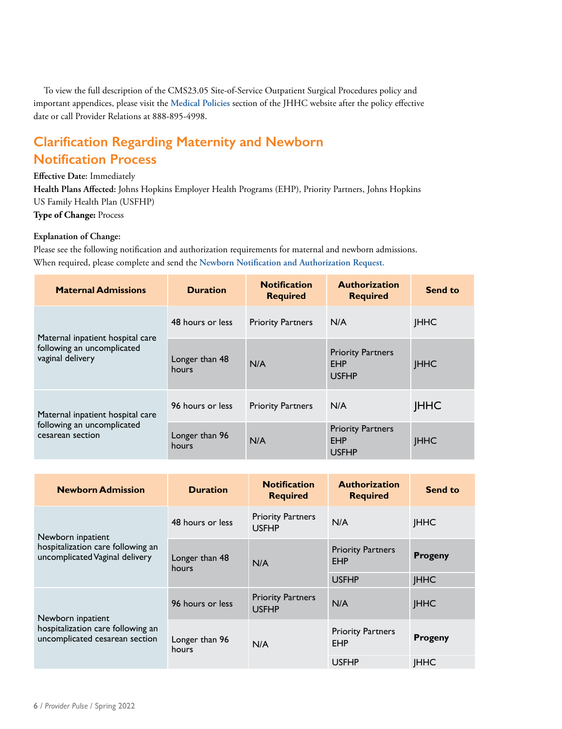To view the full description of the CMS23.05 Site-of-Service Outpatient Surgical Procedures policy and important appendices, please visit the **[Medical Policies](https://www.hopkinsmedicine.org/johns_hopkins_healthcare/providers_physicians/policies/medicalpolicies_disclaimer.html)** section of the JHHC website after the policy effective date or call Provider Relations at 888-895-4998.

# **Clarification Regarding Maternity and Newborn Notification Process**

### **Effective Date:** Immediately

**Health Plans Affected:** Johns Hopkins Employer Health Programs (EHP), Priority Partners, Johns Hopkins US Family Health Plan (USFHP) **Type of Change:** Process

### **Explanation of Change:**

Please see the following notification and authorization requirements for maternal and newborn admissions. When required, please complete and send the **[Newborn Notification and Authorization Request.](https://www.hopkinsmedicine.org/johns_hopkins_healthcare/providers_physicians/our_plans/priority_partners/forms.html)**

| <b>Maternal Admissions</b>                                                         | <b>Duration</b>         | <b>Notification</b><br><b>Required</b> | <b>Authorization</b><br><b>Required</b>                | <b>Send to</b> |
|------------------------------------------------------------------------------------|-------------------------|----------------------------------------|--------------------------------------------------------|----------------|
| Maternal inpatient hospital care<br>following an uncomplicated<br>vaginal delivery | 48 hours or less        | <b>Priority Partners</b>               | N/A                                                    | <b>JHHC</b>    |
|                                                                                    | Longer than 48<br>hours | N/A                                    | <b>Priority Partners</b><br><b>EHP</b><br><b>USFHP</b> | <b>JHHC</b>    |
| Maternal inpatient hospital care                                                   | 96 hours or less        | <b>Priority Partners</b>               | N/A                                                    | <b>JHHC</b>    |
| following an uncomplicated<br>cesarean section                                     | Longer than 96<br>hours | N/A                                    | <b>Priority Partners</b><br><b>EHP</b><br><b>USFHP</b> | <b>JHHC</b>    |

| <b>Newborn Admission</b>                                                                 | <b>Duration</b>         | <b>Notification</b><br><b>Required</b>   | <b>Authorization</b><br><b>Required</b> | <b>Send to</b> |
|------------------------------------------------------------------------------------------|-------------------------|------------------------------------------|-----------------------------------------|----------------|
| Newborn inpatient<br>hospitalization care following an<br>uncomplicated Vaginal delivery | 48 hours or less        | <b>Priority Partners</b><br><b>USFHP</b> | N/A                                     | <b>JHHC</b>    |
|                                                                                          | Longer than 48<br>hours | N/A                                      | <b>Priority Partners</b><br><b>EHP</b>  | <b>Progeny</b> |
|                                                                                          |                         |                                          | <b>USFHP</b>                            | <b>JHHC</b>    |
| Newborn inpatient<br>hospitalization care following an<br>uncomplicated cesarean section | 96 hours or less        | <b>Priority Partners</b><br><b>USFHP</b> | N/A                                     | <b>JHHC</b>    |
|                                                                                          | Longer than 96<br>hours | N/A                                      | <b>Priority Partners</b><br><b>EHP</b>  | <b>Progeny</b> |
|                                                                                          |                         |                                          | <b>USFHP</b>                            | <b>IHHC</b>    |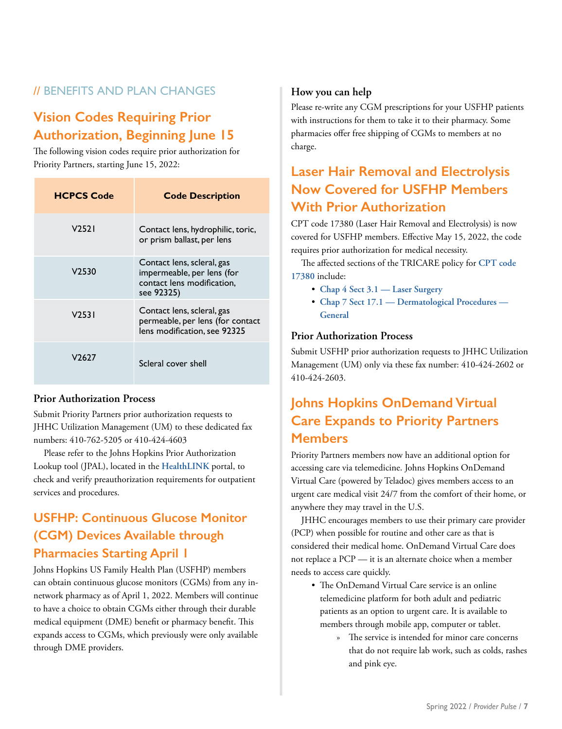# // BENEFITS AND PLAN CHANGES

# **Vision Codes Requiring Prior Authorization, Beginning June 15**

The following vision codes require prior authorization for Priority Partners, starting June 15, 2022:

| <b>HCPCS Code</b> | <b>Code Description</b>                                                                              |
|-------------------|------------------------------------------------------------------------------------------------------|
| V2521             | Contact lens, hydrophilic, toric,<br>or prism ballast, per lens                                      |
| V <sub>2530</sub> | Contact lens, scleral, gas<br>impermeable, per lens (for<br>contact lens modification,<br>see 92325) |
| V <sub>2531</sub> | Contact lens, scleral, gas<br>permeable, per lens (for contact<br>lens modification, see 92325       |
| V2627             | Scleral cover shell                                                                                  |

### **Prior Authorization Process**

Submit Priority Partners prior authorization requests to JHHC Utilization Management (UM) to these dedicated fax numbers: 410-762-5205 or 410-424-4603

Please refer to the Johns Hopkins Prior Authorization Lookup tool (JPAL), located in the **[HealthLINK](https://www.hopkinsmedicine.org/johns_hopkins_healthcare/providers_physicians/healthlink/)** portal, to check and verify preauthorization requirements for outpatient services and procedures.

# **USFHP: Continuous Glucose Monitor (CGM) Devices Available through Pharmacies Starting April 1**

Johns Hopkins US Family Health Plan (USFHP) members can obtain continuous glucose monitors (CGMs) from any innetwork pharmacy as of April 1, 2022. Members will continue to have a choice to obtain CGMs either through their durable medical equipment (DME) benefit or pharmacy benefit. This expands access to CGMs, which previously were only available through DME providers.

### **How you can help**

Please re-write any CGM prescriptions for your USFHP patients with instructions for them to take it to their pharmacy. Some pharmacies offer free shipping of CGMs to members at no charge.

# **Laser Hair Removal and Electrolysis Now Covered for USFHP Members With Prior Authorization**

CPT code 17380 (Laser Hair Removal and Electrolysis) is now covered for USFHP members. Effective May 15, 2022, the code requires prior authorization for medical necessity.

The affected sections of the TRICARE policy for **[CPT code](https://manuals.health.mil/pages/PublishedChange.aspx?manual=TP15&change=98)  [17380](https://manuals.health.mil/pages/PublishedChange.aspx?manual=TP15&change=98)** include:

- **[Chap 4 Sect 3.1 Laser Surgery](https://manuals.health.mil/pages/DisplayManualHtmlFile/2022-03-22/ChangeOnly/TP15/C4S3_1.html)**
- **[Chap 7 Sect 17.1 Dermatological Procedures](https://manuals.health.mil/pages/DisplayManualHtmlFile/2022-03-22/ChangeOnly/TP15/C7S17_1.html)  [General](https://manuals.health.mil/pages/DisplayManualHtmlFile/2022-03-22/ChangeOnly/TP15/C7S17_1.html)**

### **Prior Authorization Process**

Submit USFHP prior authorization requests to JHHC Utilization Management (UM) only via these fax number: 410-424-2602 or 410-424-2603.

# **Johns Hopkins OnDemand Virtual Care Expands to Priority Partners Members**

Priority Partners members now have an additional option for accessing care via telemedicine. Johns Hopkins OnDemand Virtual Care (powered by Teladoc) gives members access to an urgent care medical visit 24/7 from the comfort of their home, or anywhere they may travel in the U.S.

JHHC encourages members to use their primary care provider (PCP) when possible for routine and other care as that is considered their medical home. OnDemand Virtual Care does not replace a PCP — it is an alternate choice when a member needs to access care quickly.

- The OnDemand Virtual Care service is an online telemedicine platform for both adult and pediatric patients as an option to urgent care. It is available to members through mobile app, computer or tablet.
	- » The service is intended for minor care concerns that do not require lab work, such as colds, rashes and pink eye.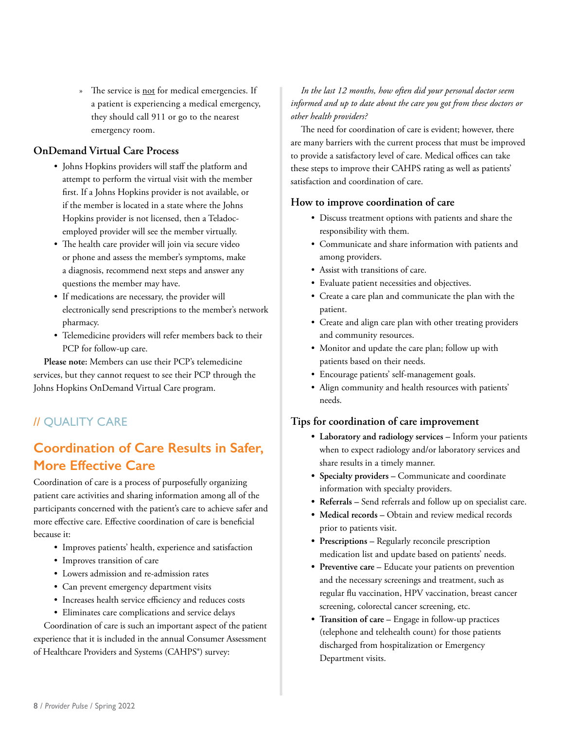» The service is not for medical emergencies. If a patient is experiencing a medical emergency, they should call 911 or go to the nearest emergency room.

### **OnDemand Virtual Care Process**

- Johns Hopkins providers will staff the platform and attempt to perform the virtual visit with the member first. If a Johns Hopkins provider is not available, or if the member is located in a state where the Johns Hopkins provider is not licensed, then a Teladocemployed provider will see the member virtually.
- The health care provider will join via secure video or phone and assess the member's symptoms, make a diagnosis, recommend next steps and answer any questions the member may have.
- If medications are necessary, the provider will electronically send prescriptions to the member's network pharmacy.
- Telemedicine providers will refer members back to their PCP for follow-up care.

**Please note:** Members can use their PCP's telemedicine services, but they cannot request to see their PCP through the Johns Hopkins OnDemand Virtual Care program.

# // QUALITY CARE

# **Coordination of Care Results in Safer, More Effective Care**

Coordination of care is a process of purposefully organizing patient care activities and sharing information among all of the participants concerned with the patient's care to achieve safer and more effective care. Effective coordination of care is beneficial because it:

- Improves patients' health, experience and satisfaction
- Improves transition of care
- Lowers admission and re-admission rates
- Can prevent emergency department visits
- Increases health service efficiency and reduces costs
- Eliminates care complications and service delays

Coordination of care is such an important aspect of the patient experience that it is included in the annual Consumer Assessment of Healthcare Providers and Systems (CAHPS®) survey:

*In the last 12 months, how often did your personal doctor seem informed and up to date about the care you got from these doctors or other health providers?*

The need for coordination of care is evident; however, there are many barriers with the current process that must be improved to provide a satisfactory level of care. Medical offices can take these steps to improve their CAHPS rating as well as patients' satisfaction and coordination of care.

### **How to improve coordination of care**

- Discuss treatment options with patients and share the responsibility with them.
- Communicate and share information with patients and among providers.
- Assist with transitions of care.
- Evaluate patient necessities and objectives.
- Create a care plan and communicate the plan with the patient.
- Create and align care plan with other treating providers and community resources.
- Monitor and update the care plan; follow up with patients based on their needs.
- Encourage patients' self-management goals.
- Align community and health resources with patients' needs.

### **Tips for coordination of care improvement**

- **• Laboratory and radiology services** Inform your patients when to expect radiology and/or laboratory services and share results in a timely manner.
- **• Specialty providers** Communicate and coordinate information with specialty providers.
- **• Referrals** Send referrals and follow up on specialist care.
- **• Medical records** Obtain and review medical records prior to patients visit.
- **• Prescriptions** Regularly reconcile prescription medication list and update based on patients' needs.
- **• Preventive care –** Educate your patients on prevention and the necessary screenings and treatment, such as regular flu vaccination, HPV vaccination, breast cancer screening, colorectal cancer screening, etc.
- **• Transition of care –** Engage in follow-up practices (telephone and telehealth count) for those patients discharged from hospitalization or Emergency Department visits.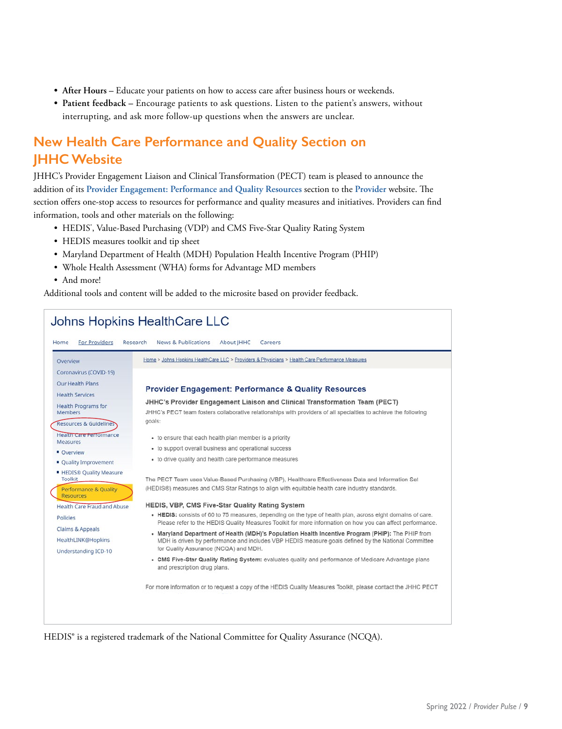- **• After Hours** Educate your patients on how to access care after business hours or weekends.
- **• Patient feedback** Encourage patients to ask questions. Listen to the patient's answers, without interrupting, and ask more follow-up questions when the answers are unclear.

# **New Health Care Performance and Quality Section on JHHC Website**

JHHC's Provider Engagement Liaison and Clinical Transformation (PECT) team is pleased to announce the addition of its **[Provider Engagement: Performance and Quality Resources](https://www.hopkinsmedicine.org/johns_hopkins_healthcare/providers_physicians/health_care_performance_measures/performance_quality_resources.html)** section to the **[Provider](https://www.hopkinsmedicine.org/johns_hopkins_healthcare/providers_physicians/health_care_performance_measures/performance_quality_resources.html)** website. The section offers one-stop access to resources for performance and quality measures and initiatives. Providers can find information, tools and other materials on the following:

- HEDIS<sup>\*</sup>, Value-Based Purchasing (VDP) and CMS Five-Star Quality Rating System
- HEDIS measures toolkit and tip sheet
- Maryland Department of Health (MDH) Population Health Incentive Program (PHIP)
- Whole Health Assessment (WHA) forms for Advantage MD members
- And more!

Additional tools and content will be added to the microsite based on provider feedback.

#### Johns Hopkins HealthCare LLC Home For Providers Research **News & Publications** About **IHHC** Careers Home > Johns Hopkins HealthCare LLC > Providers & Physicians > Health Care Performance Measures Overview Coronavirus (COVID-19) Our Health Plans **Provider Engagement: Performance & Quality Resources Health Services** JHHC's Provider Engagement Liaison and Clinical Transformation Team (PECT) Health Programs for JHHC's PECT team fosters collaborative relationships with providers of all specialties to achieve the following Members goals: Resources & Guidelines Health Care Performance - to ensure that each health plan member is a priority Measures · to support overall business and operational success • Overview • to drive quality and health care performance measures · Quality Improvement **. HEDIS® Quality Measure** Toolkit The PECT Team uses Value-Based Purchasing (VBP), Healthcare Effectiveness Data and Information Set (HEDIS®) measures and CMS Star Ratings to align with equitable health care industry standards. Performance & Quality Resources Health Care Fraud and Abuse HEDIS, VBP, CMS Five-Star Quality Rating System . HEDIS: consists of 60 to 75 measures, depending on the type of health plan, across eight domains of care. Policies Please refer to the HEDIS Quality Measures Toolkit for more information on how you can affect performance. Claims & Appeals . Maryland Department of Health (MDH)'s Population Health Incentive Program (PHIP): The PHIP from HealthLINK@Hopkins MDH is driven by performance and includes VBP HEDIS measure goals defined by the National Committee for Quality Assurance (NCQA) and MDH. Understanding ICD-10 . CMS Five-Star Quality Rating System: evaluates quality and performance of Medicare Advantage plans and prescription drug plans For more information or to request a copy of the HEDIS Quality Measures Toolkit, please contact the JHHC PECT

HEDIS® is a registered trademark of the National Committee for Quality Assurance (NCQA).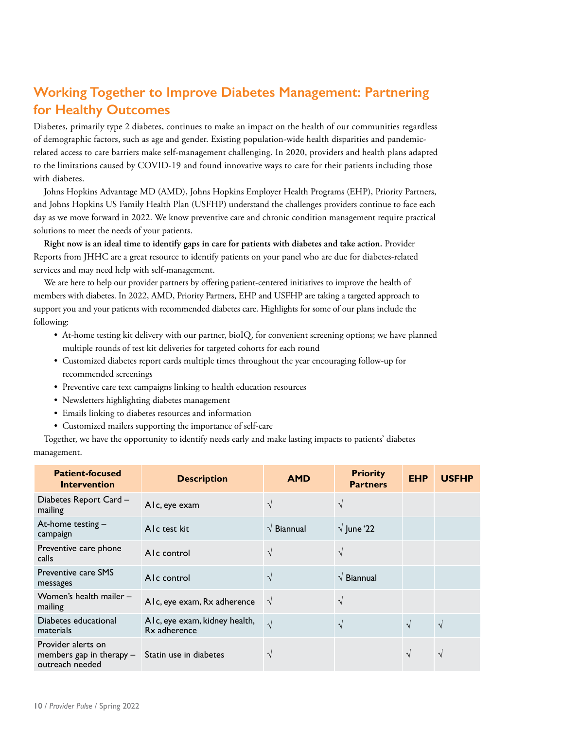# **Working Together to Improve Diabetes Management: Partnering for Healthy Outcomes**

Diabetes, primarily type 2 diabetes, continues to make an impact on the health of our communities regardless of demographic factors, such as age and gender. Existing population-wide health disparities and pandemicrelated access to care barriers make self-management challenging. In 2020, providers and health plans adapted to the limitations caused by COVID-19 and found innovative ways to care for their patients including those with diabetes.

Johns Hopkins Advantage MD (AMD), Johns Hopkins Employer Health Programs (EHP), Priority Partners, and Johns Hopkins US Family Health Plan (USFHP) understand the challenges providers continue to face each day as we move forward in 2022. We know preventive care and chronic condition management require practical solutions to meet the needs of your patients.

**Right now is an ideal time to identify gaps in care for patients with diabetes and take action.** Provider Reports from JHHC are a great resource to identify patients on your panel who are due for diabetes-related services and may need help with self-management.

We are here to help our provider partners by offering patient-centered initiatives to improve the health of members with diabetes. In 2022, AMD, Priority Partners, EHP and USFHP are taking a targeted approach to support you and your patients with recommended diabetes care. Highlights for some of our plans include the following:

- At-home testing kit delivery with our partner, bioIQ, for convenient screening options; we have planned multiple rounds of test kit deliveries for targeted cohorts for each round
- Customized diabetes report cards multiple times throughout the year encouraging follow-up for recommended screenings
- Preventive care text campaigns linking to health education resources
- Newsletters highlighting diabetes management
- Emails linking to diabetes resources and information
- Customized mailers supporting the importance of self-care

Together, we have the opportunity to identify needs early and make lasting impacts to patients' diabetes management.

| <b>Patient-focused</b><br><b>Intervention</b>                       | <b>Description</b>                            | <b>AMD</b>                  | <b>Priority</b><br><b>Partners</b> | <b>EHP</b> | <b>USFHP</b> |
|---------------------------------------------------------------------|-----------------------------------------------|-----------------------------|------------------------------------|------------|--------------|
| Diabetes Report Card -<br>mailing                                   | Alc, eye exam                                 | $\sqrt{}$                   | $\sqrt{ }$                         |            |              |
| At-home testing $-$<br>campaign                                     | AIc test kit                                  | $\sqrt{\mathsf{B}}$ iannual | $\sqrt{}$ June '22                 |            |              |
| Preventive care phone<br>calls                                      | AIc control                                   | $\sqrt{}$                   | $\sqrt{ }$                         |            |              |
| <b>Preventive care SMS</b><br>messages                              | AIc control                                   | $\mathcal{N}$               | $\sqrt{\mathsf{B}}$ iannual        |            |              |
| Women's health mailer -<br>mailing                                  | Alc, eye exam, Rx adherence                   | $\sqrt{ }$                  | $\sqrt{ }$                         |            |              |
| Diabetes educational<br>materials                                   | AIc, eye exam, kidney health,<br>Rx adherence | $\sqrt{ }$                  | $\sqrt{ }$                         | $\sqrt{ }$ | $\sqrt{ }$   |
| Provider alerts on<br>members gap in therapy $-$<br>outreach needed | Statin use in diabetes                        |                             |                                    | $\sqrt{ }$ | $\sqrt{ }$   |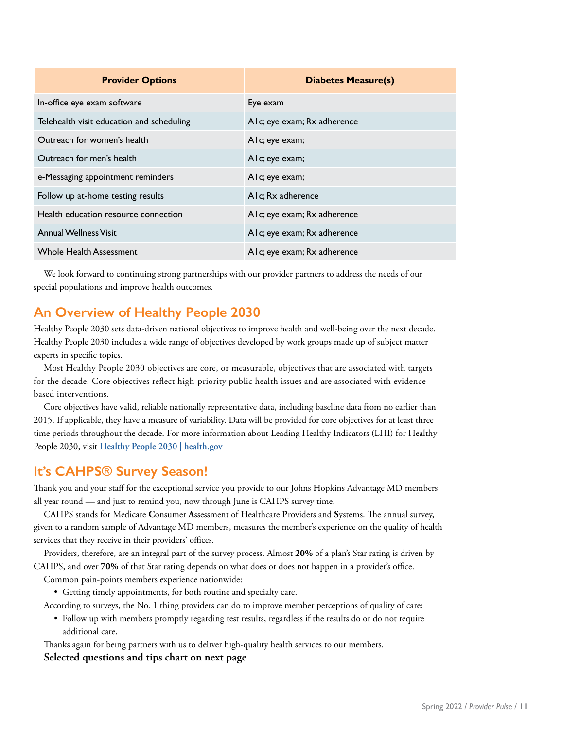| <b>Provider Options</b>                   | <b>Diabetes Measure(s)</b>  |
|-------------------------------------------|-----------------------------|
| In-office eye exam software               | Eye exam                    |
| Telehealth visit education and scheduling | Alc; eye exam; Rx adherence |
| Outreach for women's health               | Alc; eye exam;              |
| Outreach for men's health                 | Alc; eye exam;              |
| e-Messaging appointment reminders         | AIc; eye exam;              |
| Follow up at-home testing results         | AIc; Rx adherence           |
| Health education resource connection      | Alc; eye exam; Rx adherence |
| <b>Annual Wellness Visit</b>              | Alc; eye exam; Rx adherence |
| <b>Whole Health Assessment</b>            | Alc; eye exam; Rx adherence |

We look forward to continuing strong partnerships with our provider partners to address the needs of our special populations and improve health outcomes.

# **An Overview of Healthy People 2030**

Healthy People 2030 sets data-driven national objectives to improve health and well-being over the next decade. Healthy People 2030 includes a wide range of objectives developed by work groups made up of subject matter experts in specific topics.

Most Healthy People 2030 objectives are core, or measurable, objectives that are associated with targets for the decade. Core objectives reflect high-priority public health issues and are associated with evidencebased interventions.

Core objectives have valid, reliable nationally representative data, including baseline data from no earlier than 2015. If applicable, they have a measure of variability. Data will be provided for core objectives for at least three time periods throughout the decade. For more information about Leading Healthy Indicators (LHI) for Healthy People 2030, visit **[Healthy People 2030 | health.gov](https://health.gov/healthypeople)**

# **It's CAHPS® Survey Season!**

Thank you and your staff for the exceptional service you provide to our Johns Hopkins Advantage MD members all year round — and just to remind you, now through June is CAHPS survey time.

CAHPS stands for Medicare **C**onsumer **A**ssessment of **H**ealthcare **P**roviders and **S**ystems. The annual survey, given to a random sample of Advantage MD members, measures the member's experience on the quality of health services that they receive in their providers' offices.

Providers, therefore, are an integral part of the survey process. Almost **20%** of a plan's Star rating is driven by CAHPS, and over **70%** of that Star rating depends on what does or does not happen in a provider's office.

Common pain-points members experience nationwide:

• Getting timely appointments, for both routine and specialty care.

According to surveys, the No. 1 thing providers can do to improve member perceptions of quality of care:

• Follow up with members promptly regarding test results, regardless if the results do or do not require additional care.

Thanks again for being partners with us to deliver high-quality health services to our members.

**Selected questions and tips chart on next page**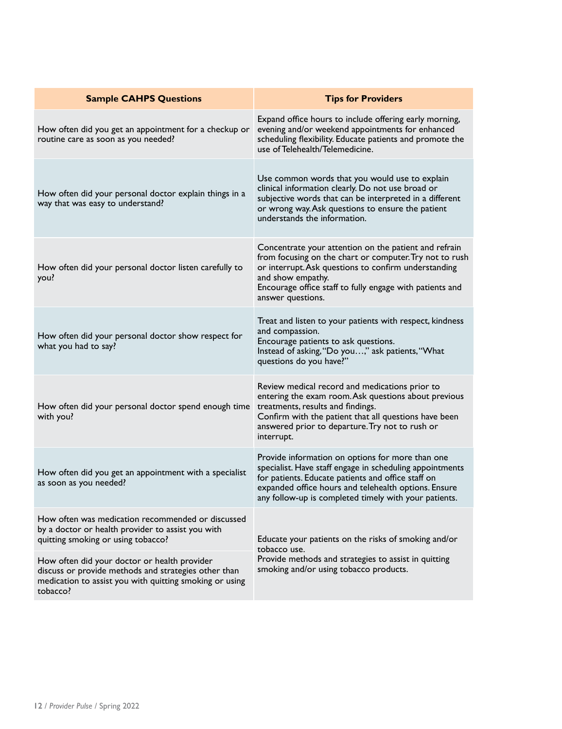| <b>Sample CAHPS Questions</b>                                                                                                                                               | <b>Tips for Providers</b>                                                                                                                                                                                                                                                           |
|-----------------------------------------------------------------------------------------------------------------------------------------------------------------------------|-------------------------------------------------------------------------------------------------------------------------------------------------------------------------------------------------------------------------------------------------------------------------------------|
| How often did you get an appointment for a checkup or<br>routine care as soon as you needed?                                                                                | Expand office hours to include offering early morning,<br>evening and/or weekend appointments for enhanced<br>scheduling flexibility. Educate patients and promote the<br>use of Telehealth/Telemedicine.                                                                           |
| How often did your personal doctor explain things in a<br>way that was easy to understand?                                                                                  | Use common words that you would use to explain<br>clinical information clearly. Do not use broad or<br>subjective words that can be interpreted in a different<br>or wrong way. Ask questions to ensure the patient<br>understands the information.                                 |
| How often did your personal doctor listen carefully to<br>you?                                                                                                              | Concentrate your attention on the patient and refrain<br>from focusing on the chart or computer. Try not to rush<br>or interrupt. Ask questions to confirm understanding<br>and show empathy.<br>Encourage office staff to fully engage with patients and<br>answer questions.      |
| How often did your personal doctor show respect for<br>what you had to say?                                                                                                 | Treat and listen to your patients with respect, kindness<br>and compassion.<br>Encourage patients to ask questions.<br>Instead of asking, "Do you," ask patients, "What<br>questions do you have?"                                                                                  |
| How often did your personal doctor spend enough time<br>with you?                                                                                                           | Review medical record and medications prior to<br>entering the exam room. Ask questions about previous<br>treatments, results and findings.<br>Confirm with the patient that all questions have been<br>answered prior to departure. Try not to rush or<br>interrupt.               |
| How often did you get an appointment with a specialist<br>as soon as you needed?                                                                                            | Provide information on options for more than one<br>specialist. Have staff engage in scheduling appointments<br>for patients. Educate patients and office staff on<br>expanded office hours and telehealth options. Ensure<br>any follow-up is completed timely with your patients. |
| How often was medication recommended or discussed<br>by a doctor or health provider to assist you with<br>quitting smoking or using tobacco?                                | Educate your patients on the risks of smoking and/or<br>tobacco use.                                                                                                                                                                                                                |
| How often did your doctor or health provider<br>discuss or provide methods and strategies other than<br>medication to assist you with quitting smoking or using<br>tobacco? | Provide methods and strategies to assist in quitting<br>smoking and/or using tobacco products.                                                                                                                                                                                      |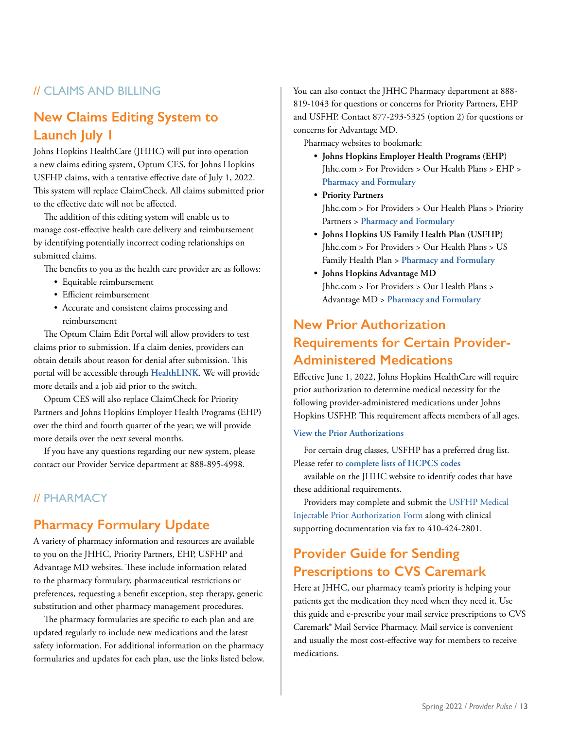## // CLAIMS AND BILLING

# **New Claims Editing System to Launch July 1**

Johns Hopkins HealthCare (JHHC) will put into operation a new claims editing system, Optum CES, for Johns Hopkins USFHP claims, with a tentative effective date of July 1, 2022. This system will replace ClaimCheck. All claims submitted prior to the effective date will not be affected.

The addition of this editing system will enable us to manage cost-effective health care delivery and reimbursement by identifying potentially incorrect coding relationships on submitted claims.

The benefits to you as the health care provider are as follows:

- Equitable reimbursement
- Efficient reimbursement
- Accurate and consistent claims processing and reimbursement

The Optum Claim Edit Portal will allow providers to test claims prior to submission. If a claim denies, providers can obtain details about reason for denial after submission. This portal will be accessible through **[HealthLINK](https://www.hopkinsmedicine.org/johns_hopkins_healthcare/providers_physicians/healthlink/)**. We will provide more details and a job aid prior to the switch.

Optum CES will also replace ClaimCheck for Priority Partners and Johns Hopkins Employer Health Programs (EHP) over the third and fourth quarter of the year; we will provide more details over the next several months.

If you have any questions regarding our new system, please contact our Provider Service department at 888-895-4998.

### // PHARMACY

# **Pharmacy Formulary Update**

A variety of pharmacy information and resources are available to you on the JHHC, Priority Partners, EHP, USFHP and Advantage MD websites. These include information related to the pharmacy formulary, pharmaceutical restrictions or preferences, requesting a benefit exception, step therapy, generic substitution and other pharmacy management procedures.

The pharmacy formularies are specific to each plan and are updated regularly to include new medications and the latest safety information. For additional information on the pharmacy formularies and updates for each plan, use the links listed below. You can also contact the JHHC Pharmacy department at 888- 819-1043 for questions or concerns for Priority Partners, EHP and USFHP. Contact 877-293-5325 (option 2) for questions or concerns for Advantage MD.

Pharmacy websites to bookmark:

- **• Johns Hopkins Employer Health Programs (EHP)** Jhhc.com > For Providers > Our Health Plans > EHP > **[Pharmacy and Formulary](http://www.hopkinsmedicine.org/johns_hopkins_healthcare/providers_physicians/our_plans/ehp/pharmacy_formulary/index.html)**
- **• Priority Partners** Jhhc.com > For Providers > Our Health Plans > Priority Partners > **[Pharmacy and Formulary](http://www.hopkinsmedicine.org/johns_hopkins_healthcare/providers_physicians/our_plans/priority_partners/pharmacy.html)**
- **• Johns Hopkins US Family Health Plan (USFHP)** Jhhc.com > For Providers > Our Health Plans > US Family Health Plan > **[Pharmacy and Formulary](http://www.hopkinsmedicine.org/johns_hopkins_healthcare/providers_physicians/our_plans/usfhp/pharmacy.html)**
- **• Johns Hopkins Advantage MD** Jhhc.com > For Providers > Our Health Plans > Advantage MD > **[Pharmacy and Formulary](http://www.hopkinsmedicine.org/johns_hopkins_healthcare/providers_physicians/our_plans/medicare-advantage/pharmacy_formulary/index.html)**

# **New Prior Authorization Requirements for Certain Provider-Administered Medications**

Effective June 1, 2022, Johns Hopkins HealthCare will require prior authorization to determine medical necessity for the following provider-administered medications under Johns Hopkins USFHP. This requirement affects members of all ages.

### **[View the Prior Authorizations](https://www.hopkinsmedicine.org/johns_hopkins_healthcare/providers_physicians/resources_guidelines/provider_communications/2022/Provider_Updates/pa_re_eff_jun_2022)**

For certain drug classes, USFHP has a preferred drug list. Please refer to **[complete lists of HCPCS codes](https://www.hopkinsmedicine.org/johns_hopkins_healthcare/providers_physicians/our_plans/usfhp/pharmacy.html)**

available on the JHHC website to identify codes that have these additional requirements.

Providers may complete and submit the [USFHP Medical](https://www.hopkinsmedicine.org/johns_hopkins_healthcare/providers_physicians/resources_guidelines/forms.html)  [Injectable Prior Authorization Form](https://www.hopkinsmedicine.org/johns_hopkins_healthcare/providers_physicians/resources_guidelines/forms.html) along with clinical supporting documentation via fax to 410-424-2801.

# **Provider Guide for Sending Prescriptions to CVS Caremark**

Here at JHHC, our pharmacy team's priority is helping your patients get the medication they need when they need it. Use this guide and e-prescribe your mail service prescriptions to CVS Caremark® Mail Service Pharmacy. Mail service is convenient and usually the most cost-effective way for members to receive medications.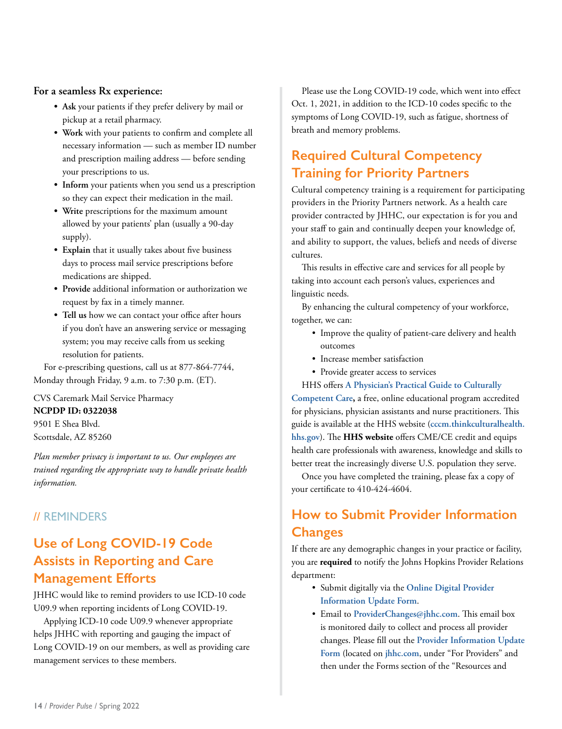### **For a seamless Rx experience:**

- **• Ask** your patients if they prefer delivery by mail or pickup at a retail pharmacy.
- **• Work** with your patients to confirm and complete all necessary information — such as member ID number and prescription mailing address — before sending your prescriptions to us.
- **• Inform** your patients when you send us a prescription so they can expect their medication in the mail.
- **• Write** prescriptions for the maximum amount allowed by your patients' plan (usually a 90-day supply).
- **• Explain** that it usually takes about five business days to process mail service prescriptions before medications are shipped.
- **• Provide** additional information or authorization we request by fax in a timely manner.
- **• Tell us** how we can contact your office after hours if you don't have an answering service or messaging system; you may receive calls from us seeking resolution for patients.

For e-prescribing questions, call us at 877-864-7744, Monday through Friday, 9 a.m. to 7:30 p.m. (ET).

CVS Caremark Mail Service Pharmacy

### **NCPDP ID: 0322038**

9501 E Shea Blvd. Scottsdale, AZ 85260

*Plan member privacy is important to us. Our employees are trained regarding the appropriate way to handle private health information.* 

### // REMINDERS

# **Use of Long COVID-19 Code Assists in Reporting and Care Management Efforts**

JHHC would like to remind providers to use ICD-10 code U09.9 when reporting incidents of Long COVID-19.

Applying ICD-10 code U09.9 whenever appropriate helps JHHC with reporting and gauging the impact of Long COVID-19 on our members, as well as providing care management services to these members.

Please use the Long COVID-19 code, which went into effect Oct. 1, 2021, in addition to the ICD-10 codes specific to the symptoms of Long COVID-19, such as fatigue, shortness of breath and memory problems.

# **Required Cultural Competency Training for Priority Partners**

Cultural competency training is a requirement for participating providers in the Priority Partners network. As a health care provider contracted by JHHC, our expectation is for you and your staff to gain and continually deepen your knowledge of, and ability to support, the values, beliefs and needs of diverse cultures.

This results in effective care and services for all people by taking into account each person's values, experiences and linguistic needs.

By enhancing the cultural competency of your workforce, together, we can:

- Improve the quality of patient-care delivery and health outcomes
- Increase member satisfaction
- Provide greater access to services

HHS offers **[A Physician's Practical Guide to Culturally](https://cccm.thinkculturalhealth.hhs.gov/)  [Competent Care](https://cccm.thinkculturalhealth.hhs.gov/),** a free, online educational program accredited for physicians, physician assistants and nurse practitioners. This guide is available at the HHS website (**[cccm.thinkculturalhealth.](file:///\\jhhc.com\jhhcfileshare\Marketing_Communications\Daily%20Work\Communications_Dept\Lynne%20Leidy\2020\Provider\Provider%20Pulse\Spring%202022\Reviewed%20PP-Spring%202022\cccm.thinkculturalhealth.hhs.gov) [hhs.gov](file:///\\jhhc.com\jhhcfileshare\Marketing_Communications\Daily%20Work\Communications_Dept\Lynne%20Leidy\2020\Provider\Provider%20Pulse\Spring%202022\Reviewed%20PP-Spring%202022\cccm.thinkculturalhealth.hhs.gov)**). The **[HHS website](https://cccm.thinkculturalhealth.hhs.gov/)** offers CME/CE credit and equips health care professionals with awareness, knowledge and skills to better treat the increasingly diverse U.S. population they serve.

Once you have completed the training, please fax a copy of your certificate to 410-424-4604.

# **How to Submit Provider Information Changes**

If there are any demographic changes in your practice or facility, you are **required** to notify the Johns Hopkins Provider Relations department:

- Submit digitally via the **[Online Digital Provider](https://www.hopkinsmedicine.org/johns_hopkins_healthcare/providers_physicians/resources_guidelines/online_forms/provider_info_update_form)  [Information Update Form](https://www.hopkinsmedicine.org/johns_hopkins_healthcare/providers_physicians/resources_guidelines/online_forms/provider_info_update_form)**.
- Email to **[ProviderChanges@jhhc.com](mailto:ProviderChanges@jhhc.com)**. This email box is monitored daily to collect and process all provider changes. Please fill out the **[Provider](https://www.hopkinsmedicine.org/johns_hopkins_healthcare/downloads/all_plans/provider_info_update_form.pdf) [Information](https://www.hopkinsmedicine.org/johns_hopkins_healthcare/downloads/all_plans/provider_info_update_form.pdf) [Update](https://www.hopkinsmedicine.org/johns_hopkins_healthcare/downloads/all_plans/provider_info_update_form.pdf) [Form](https://www.hopkinsmedicine.org/johns_hopkins_healthcare/downloads/all_plans/provider_info_update_form.pdf)** (located on **[jhhc.com](https://jhhc.com/)**, under "For Providers" and then under the Forms section of the "Resources and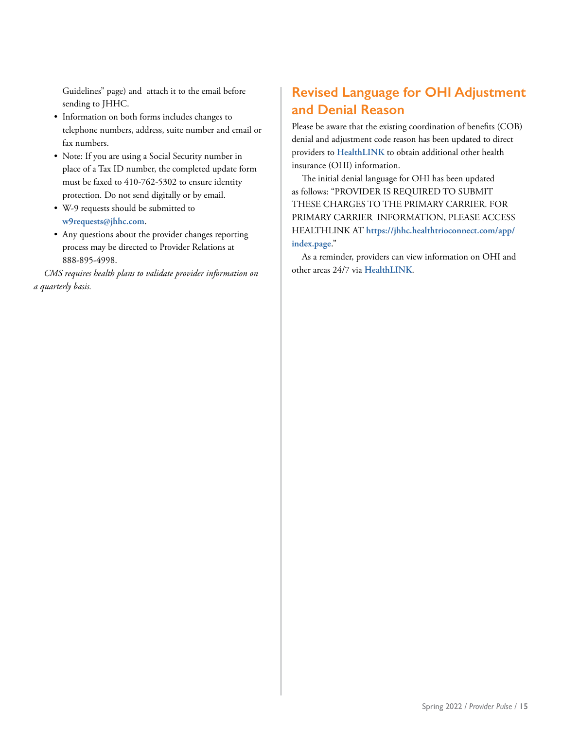Guidelines" page) and attach it to the email before sending to JHHC.

- Information on both forms includes changes to telephone numbers, address, suite number and email or fax numbers.
- Note: If you are using a Social Security number in place of a Tax ID number, the completed update form must be faxed to 410-762-5302 to ensure identity protection. Do not send digitally or by email.
- W-9 requests should be submitted to **[w9requests@jhhc.com](mailto:w9requests@jhh.com)**.
- Any questions about the provider changes reporting process may be directed to Provider Relations at 888-895-4998.

*CMS requires health plans to validate provider information on a quarterly basis.*

# **Revised Language for OHI Adjustment and Denial Reason**

Please be aware that the existing coordination of benefits (COB) denial and adjustment code reason has been updated to direct providers to **[HealthLINK](https://www.hopkinsmedicine.org/johns_hopkins_healthcare/providers_physicians/healthlink/)** to obtain additional other health insurance (OHI) information.

The initial denial language for OHI has been updated as follows: "PROVIDER IS REQUIRED TO SUBMIT THESE CHARGES TO THE PRIMARY CARRIER. FOR PRIMARY CARRIER INFORMATION, PLEASE ACCESS HEALTHLINK AT **[https://jhhc.healthtrioconnect.com/app/](https://jhhc.healthtrioconnect.com/app/index.page) [index.page](https://jhhc.healthtrioconnect.com/app/index.page)**."

As a reminder, providers can view information on OHI and other areas 24/7 via **[HealthLINK](https://www.hopkinsmedicine.org/johns_hopkins_healthcare/providers_physicians/healthlink/)**.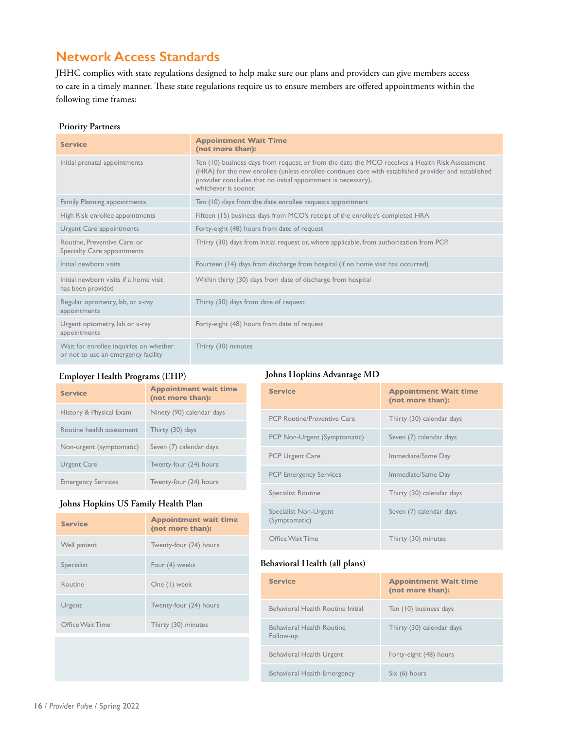# **Network Access Standards**

JHHC complies with state regulations designed to help make sure our plans and providers can give members access to care in a timely manner. These state regulations require us to ensure members are offered appointments within the following time frames:

### **Priority Partners**

| <b>Service</b>                                                                | <b>Appointment Wait Time</b><br>(not more than):                                                                                                                                                                                                                                                 |
|-------------------------------------------------------------------------------|--------------------------------------------------------------------------------------------------------------------------------------------------------------------------------------------------------------------------------------------------------------------------------------------------|
| Initial prenatal appointments                                                 | Ten (10) business days from request, or from the date the MCO receives a Health Risk Assessment<br>(HRA) for the new enrollee (unless enrollee continues care with established provider and established<br>provider concludes that no initial appointment is necessary),<br>whichever is sooner. |
| Family Planning appointments                                                  | Ten (10) days from the date enrollee requests appointment                                                                                                                                                                                                                                        |
| High Risk enrollee appointments                                               | Fifteen (15) business days from MCO's receipt of the enrollee's completed HRA                                                                                                                                                                                                                    |
| Urgent Care appointments                                                      | Forty-eight (48) hours from date of request                                                                                                                                                                                                                                                      |
| Routine, Preventive Care, or<br>Specialty Care appointments                   | Thirty (30) days from initial request or, where applicable, from authorization from PCP.                                                                                                                                                                                                         |
| Initial newborn visits                                                        | Fourteen (14) days from discharge from hospital (if no home visit has occurred)                                                                                                                                                                                                                  |
| Initial newborn visits if a home visit<br>has been provided                   | Within thirty (30) days from date of discharge from hospital                                                                                                                                                                                                                                     |
| Regular optometry, lab, or x-ray<br>appointments                              | Thirty (30) days from date of request                                                                                                                                                                                                                                                            |
| Urgent optometry, lab or x-ray<br>appointments                                | Forty-eight (48) hours from date of request                                                                                                                                                                                                                                                      |
| Wait for enrollee inquiries on whether<br>or not to use an emergency facility | Thirty (30) minutes                                                                                                                                                                                                                                                                              |

### **Employer Health Programs (EHP)**

### **Johns Hopkins Advantage MD**

| <b>Service</b>                                      | <b>Appointment wait time</b><br>(not more than): | <b>Service</b>                     | <b>Appointment Wait time</b><br>(not more than): |
|-----------------------------------------------------|--------------------------------------------------|------------------------------------|--------------------------------------------------|
| History & Physical Exam                             | Ninety (90) calendar days                        | <b>PCP Routine/Preventive Care</b> | Thirty (30) calendar days                        |
| Routine health assessment                           | Thirty (30) days                                 | PCP Non-Urgent (Symptomatic)       | Seven (7) calendar days                          |
| Non-urgent (symptomatic)                            | Seven (7) calendar days                          | <b>PCP Urgent Care</b>             | Immediate/Same Day                               |
| Urgent Care                                         | Twenty-four (24) hours                           | <b>PCP Emergency Services</b>      | Immediate/Same Day                               |
| <b>Emergency Services</b><br>Twenty-four (24) hours |                                                  | Specialist Routine                 | Thirty (30) calendar days                        |
| Johns Hopkins US Family Health Plan                 |                                                  |                                    |                                                  |

| <b>Service</b>   | <b>Appointment wait time</b><br>(not more than): |
|------------------|--------------------------------------------------|
| Well patient     | Twenty-four (24) hours                           |
| Specialist       | Four (4) weeks                                   |
| Routine          | One (1) week                                     |
| Urgent           | Twenty-four (24) hours                           |
| Office Wait Time | Thirty (30) minutes                              |

| PCP Urgent Care                        | Immediate/Same Day        |
|----------------------------------------|---------------------------|
| <b>PCP Emergency Services</b>          | Immediate/Same Day        |
| Specialist Routine                     | Thirty (30) calendar days |
| Specialist Non-Urgent<br>(Symptomatic) | Seven (7) calendar days   |
| Office Wait Time                       | Thirty (30) minutes       |

### **Behavioral Health (all plans)**

| <b>Service</b>                         | <b>Appointment Wait time</b><br>(not more than): |
|----------------------------------------|--------------------------------------------------|
| Behavioral Health Routine Initial      | Ten (10) business days                           |
| Behavioral Health Routine<br>Follow-up | Thirty (30) calendar days                        |
| Behavioral Health Urgent               | Forty-eight (48) hours                           |
| Behavioral Health Emergency            | Six (6) hours                                    |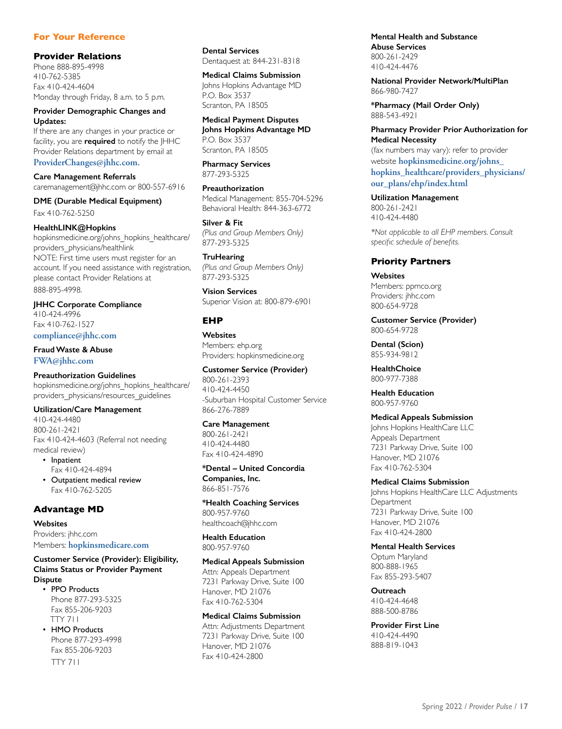### **For Your Reference**

#### **Provider Relations**

Phone 888-895-4998 410-762-5385 Fax 410-424-4604 Monday through Friday, 8 a.m. to 5 p.m.

**Provider Demographic Changes and Updates:**

If there are any changes in your practice or facility, you are **required** to notify the JHHC Provider Relations department by email at **ProviderChanges@jhhc.com.** 

**Care Management Referrals**  caremanagement@jhhc.com or 800-557-6916

**DME (Durable Medical Equipment)** Fax 410-762-5250

#### **HealthLINK@Hopkins**

hopkinsmedicine.org/johns\_hopkins\_healthcare/ providers\_physicians/healthlink NOTE: First time users must register for an account. If you need assistance with registration, please contact Provider Relations at 888-895-4998.

**JHHC Corporate Compliance** 410-424-4996 Fax 410-762-1527 **compliance@jhhc.com**

**Fraud Waste & Abuse FWA@jhhc.com**

**Preauthorization Guidelines**

hopkinsmedicine.org/johns\_hopkins\_healthcare/ providers\_physicians/resources\_guidelines

**Utilization/Care Management**

410-424-4480 800-261-2421 Fax 410-424-4603 (Referral not needing medical review)

• Inpatient Fax 410-424-4894 • Outpatient medical review

Fax 410-762-5205

#### **Advantage MD**

**Websites** Providers: jhhc.com Members: **hopkinsmedicare.com**

#### **Customer Service (Provider): Eligibility, Claims Status or Provider Payment Dispute**

• PPO Products Phone 877-293-5325 Fax 855-206-9203 TTY 711

• HMO Products Phone 877-293-4998 Fax 855-206-9203 TTY 711

**Dental Services** Dentaquest at: 844-231-8318

#### **Medical Claims Submission**

Johns Hopkins Advantage MD P.O. Box 3537 Scranton, PA 18505

**Medical Payment Disputes Johns Hopkins Advantage MD** P.O. Box 3537 Scranton, PA 18505

**Pharmacy Services** 877-293-5325

**Preauthorization** Medical Management: 855-704-5296 Behavioral Health: 844-363-6772

**Silver & Fit**  *(Plus and Group Members Only)* 877-293-5325

**TruHearing** *(Plus and Group Members Only)* 877-293-5325

**Vision Services** Superior Vision at: 800-879-6901

### **EHP**

**Websites** Members: ehp.org Providers: hopkinsmedicine.org

**Customer Service (Provider)** 800-261-2393 410-424-4450 -Suburban Hospital Customer Service 866-276-7889

**Care Management** 800-261-2421 410-424-4480 Fax 410-424-4890

**\*Dental – United Concordia Companies, Inc.** 866-851-7576

**\*Health Coaching Services** 800-957-9760 healthcoach@jhhc.com

**Health Education** 800-957-9760

**Medical Appeals Submission**

Attn: Appeals Department 7231 Parkway Drive, Suite 100 Hanover, MD 21076 Fax 410-762-5304

### **Medical Claims Submission**

Attn: Adjustments Department 7231 Parkway Drive, Suite 100 Hanover, MD 21076 Fax 410-424-2800

**Mental Health and Substance Abuse Services** 800-261-2429 410-424-4476

**National Provider Network/MultiPlan** 866-980-7427

**\*Pharmacy (Mail Order Only)** 888-543-4921

**Pharmacy Provider Prior Authorization for Medical Necessity**

(fax numbers may vary): refer to provider website **hopkinsmedicine.org/johns\_ hopkins\_healthcare/providers\_physicians/ our\_plans/ehp/index.html**

**Utilization Management** 800-261-2421 410-424-4480

*\*Not applicable to all EHP members. Consult specific schedule of benefits.*

#### **Priority Partners**

**Websites** Members: ppmco.org Providers: jhhc.com 800-654-9728

**Customer Service (Provider)** 800-654-9728

**Dental (Scion)** 855-934-9812

**HealthChoice** 800-977-7388

**Health Education** 800-957-9760

#### **Medical Appeals Submission**

Johns Hopkins HealthCare LLC Appeals Department 7231 Parkway Drive, Suite 100 Hanover, MD 21076 Fax 410-762-5304

#### **Medical Claims Submission**

Johns Hopkins HealthCare LLC Adjustments **Department** 7231 Parkway Drive, Suite 100 Hanover, MD 21076 Fax 410-424-2800

**Mental Health Services**

Optum Maryland 800-888-1965 Fax 855-293-5407

**Outreach** 410-424-4648 888-500-8786

**Provider First Line** 410-424-4490 888-819-1043